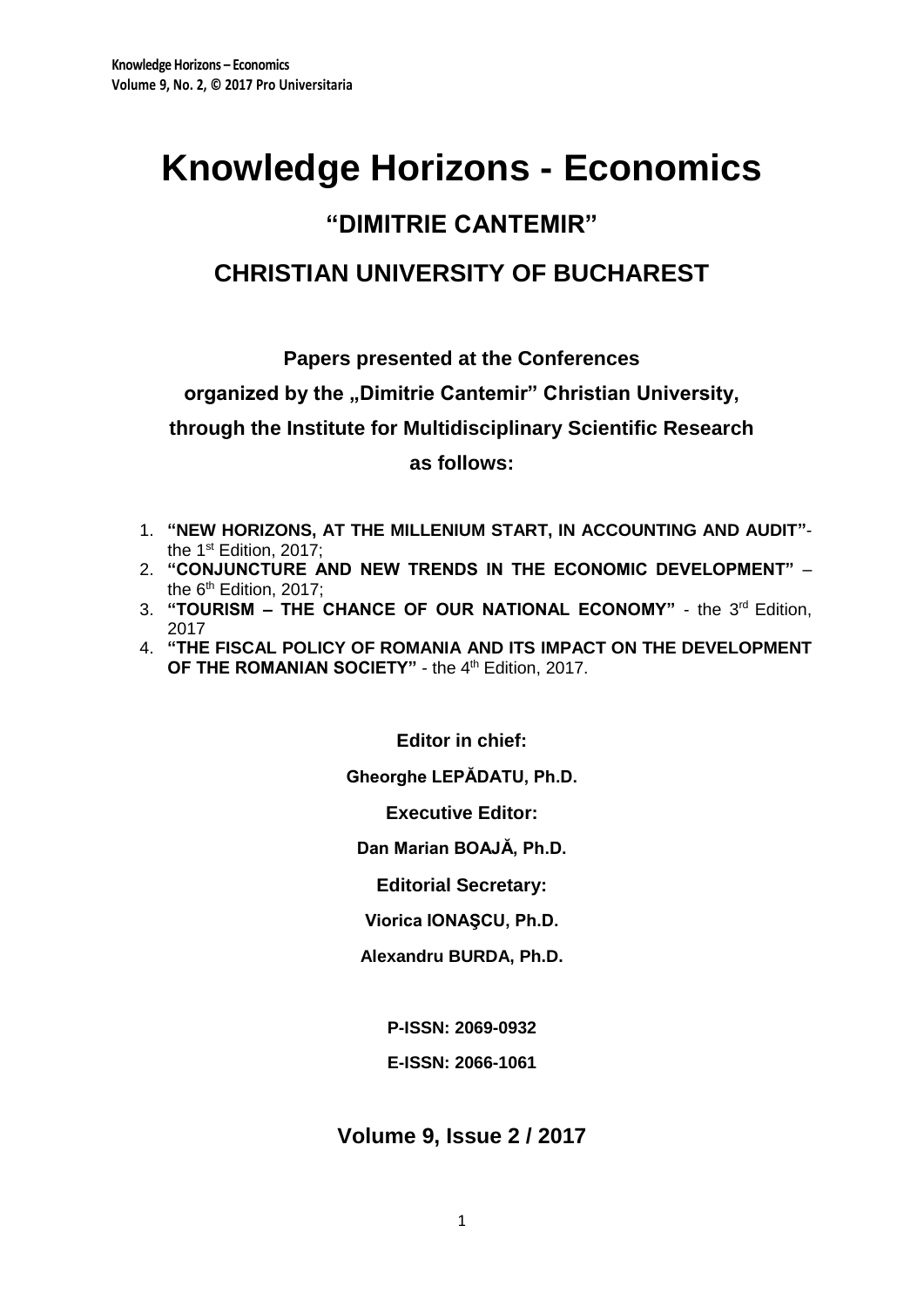# **Knowledge Horizons - Economics**

## **"DIMITRIE CANTEMIR"**

## **CHRISTIAN UNIVERSITY OF BUCHAREST**

**Papers presented at the Conferences** 

organized by the "Dimitrie Cantemir" Christian University,

**through the Institute for Multidisciplinary Scientific Research**

**as follows:**

- 1. **"NEW HORIZONS, AT THE MILLENIUM START, IN ACCOUNTING AND AUDIT"** the 1<sup>st</sup> Edition, 2017;
- 2. **"CONJUNCTURE AND NEW TRENDS IN THE ECONOMIC DEVELOPMENT"**  the  $6<sup>th</sup>$  Edition, 2017;
- 3. "TOURISM THE CHANCE OF OUR NATIONAL ECONOMY" the 3<sup>rd</sup> Edition, 2017
- 4. **"THE FISCAL POLICY OF ROMANIA AND ITS IMPACT ON THE DEVELOPMENT**  OF THE ROMANIAN SOCIETY" - the 4<sup>th</sup> Edition, 2017.

**Editor in chief:**

**Gheorghe LEPĂDATU, Ph.D.**

**Executive Editor:**

**Dan Marian BOAJĂ, Ph.D.**

**Editorial Secretary:**

**Viorica IONAŞCU, Ph.D.**

**Alexandru BURDA, Ph.D.**

**P-ISSN: 2069-0932**

**E-ISSN: 2066-1061**

**Volume 9, Issue 2 / 2017**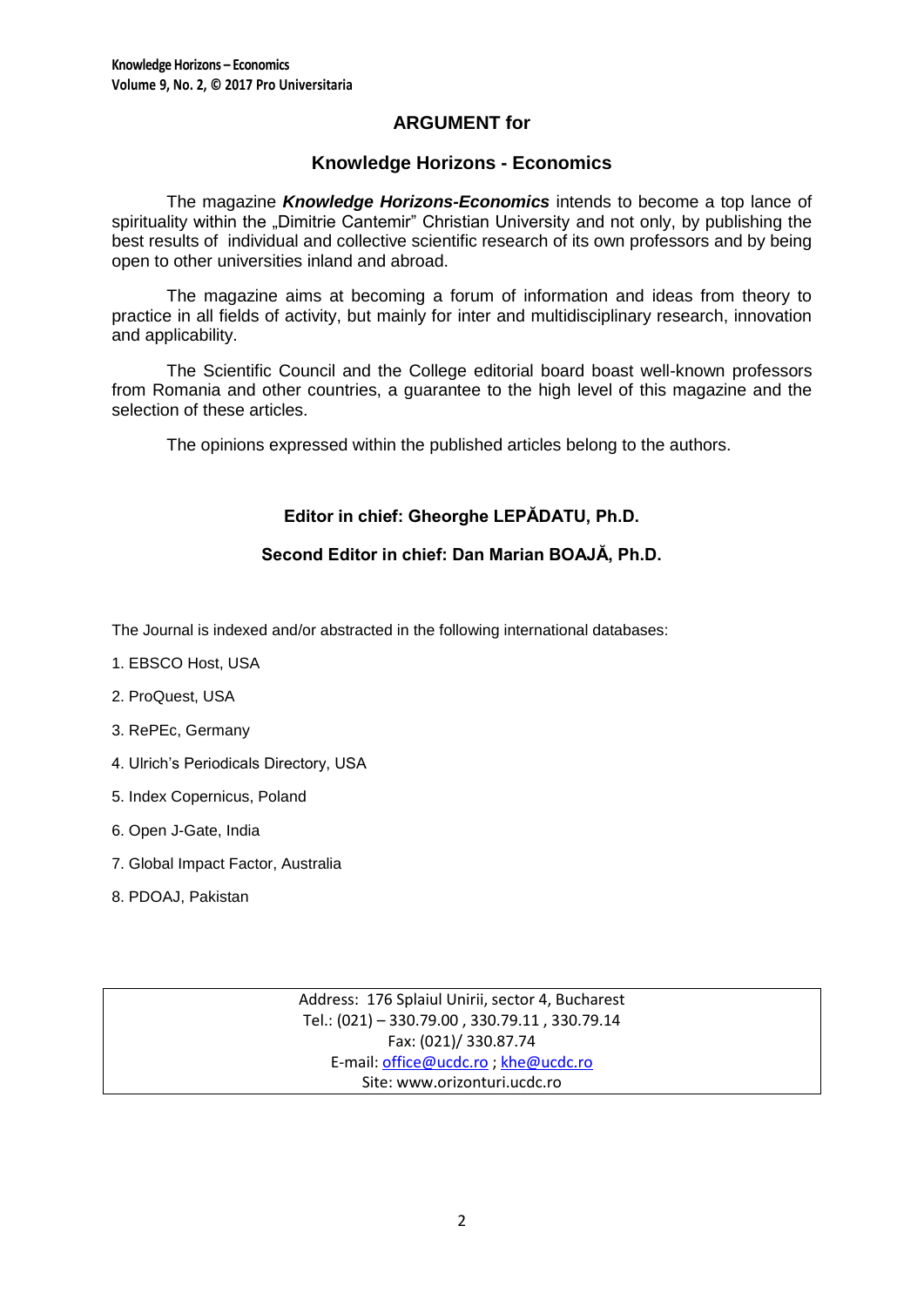## **ARGUMENT for**

## **Knowledge Horizons - Economics**

The magazine *Knowledge Horizons-Economics* intends to become a top lance of spirituality within the "Dimitrie Cantemir" Christian University and not only, by publishing the best results of individual and collective scientific research of its own professors and by being open to other universities inland and abroad.

The magazine aims at becoming a forum of information and ideas from theory to practice in all fields of activity, but mainly for inter and multidisciplinary research, innovation and applicability.

The Scientific Council and the College editorial board boast well-known professors from Romania and other countries, a guarantee to the high level of this magazine and the selection of these articles.

The opinions expressed within the published articles belong to the authors.

## **Editor in chief: Gheorghe LEPĂDATU, Ph.D.**

## **Second Editor in chief: Dan Marian BOAJĂ, Ph.D.**

The Journal is indexed and/or abstracted in the following international databases:

- 1. EBSCO Host, USA
- 2. ProQuest, USA
- 3. RePEc, Germany
- 4. Ulrich's Periodicals Directory, USA
- 5. Index Copernicus, Poland
- 6. Open J-Gate, India
- 7. Global Impact Factor, Australia
- 8. PDOAJ, Pakistan

Address: 176 Splaiul Unirii, sector 4, Bucharest Tel.: (021) – 330.79.00 , 330.79.11 , 330.79.14 Fax: (021)/ 330.87.74 E-mail[: office@ucdc.ro](mailto:office@ucdc.ro) [; khe@ucdc.ro](mailto:khe@ucdc.ro) Site: www.orizonturi.ucdc.ro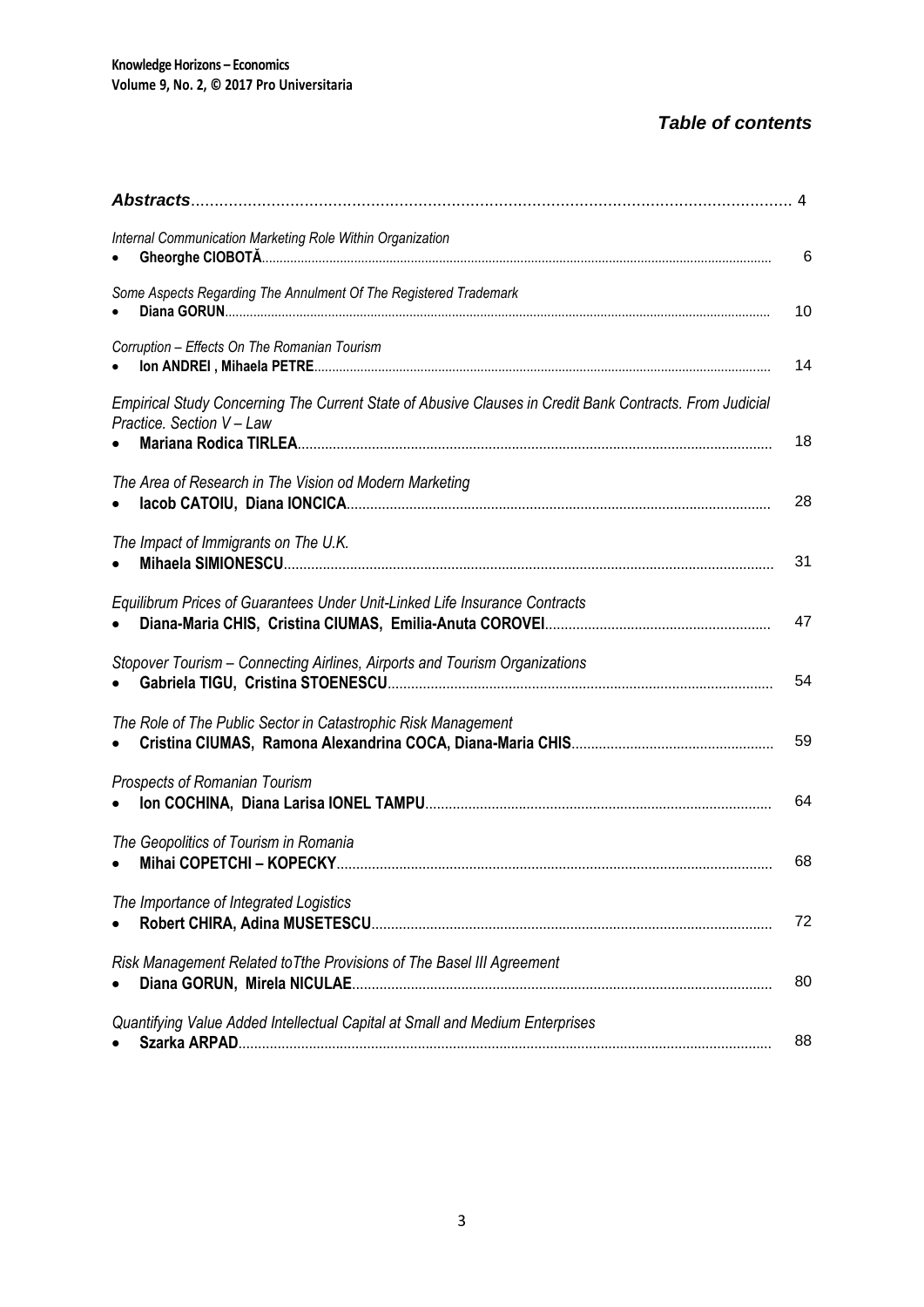## *Table of contents*

| Internal Communication Marketing Role Within Organization                                                                            | 6  |
|--------------------------------------------------------------------------------------------------------------------------------------|----|
| Some Aspects Regarding The Annulment Of The Registered Trademark                                                                     | 10 |
| Corruption - Effects On The Romanian Tourism                                                                                         | 14 |
| Empirical Study Concerning The Current State of Abusive Clauses in Credit Bank Contracts. From Judicial<br>Practice. Section V - Law | 18 |
| The Area of Research in The Vision od Modern Marketing                                                                               | 28 |
| The Impact of Immigrants on The U.K.                                                                                                 | 31 |
| Equilibrum Prices of Guarantees Under Unit-Linked Life Insurance Contracts                                                           | 47 |
| Stopover Tourism - Connecting Airlines, Airports and Tourism Organizations                                                           | 54 |
| The Role of The Public Sector in Catastrophic Risk Management                                                                        | 59 |
| <b>Prospects of Romanian Tourism</b>                                                                                                 | 64 |
| The Geopolitics of Tourism in Romania                                                                                                | 68 |
| The Importance of Integrated Logistics                                                                                               | 72 |
| Risk Management Related to Tthe Provisions of The Basel III Agreement                                                                | 80 |
| Quantifying Value Added Intellectual Capital at Small and Medium Enterprises                                                         | 88 |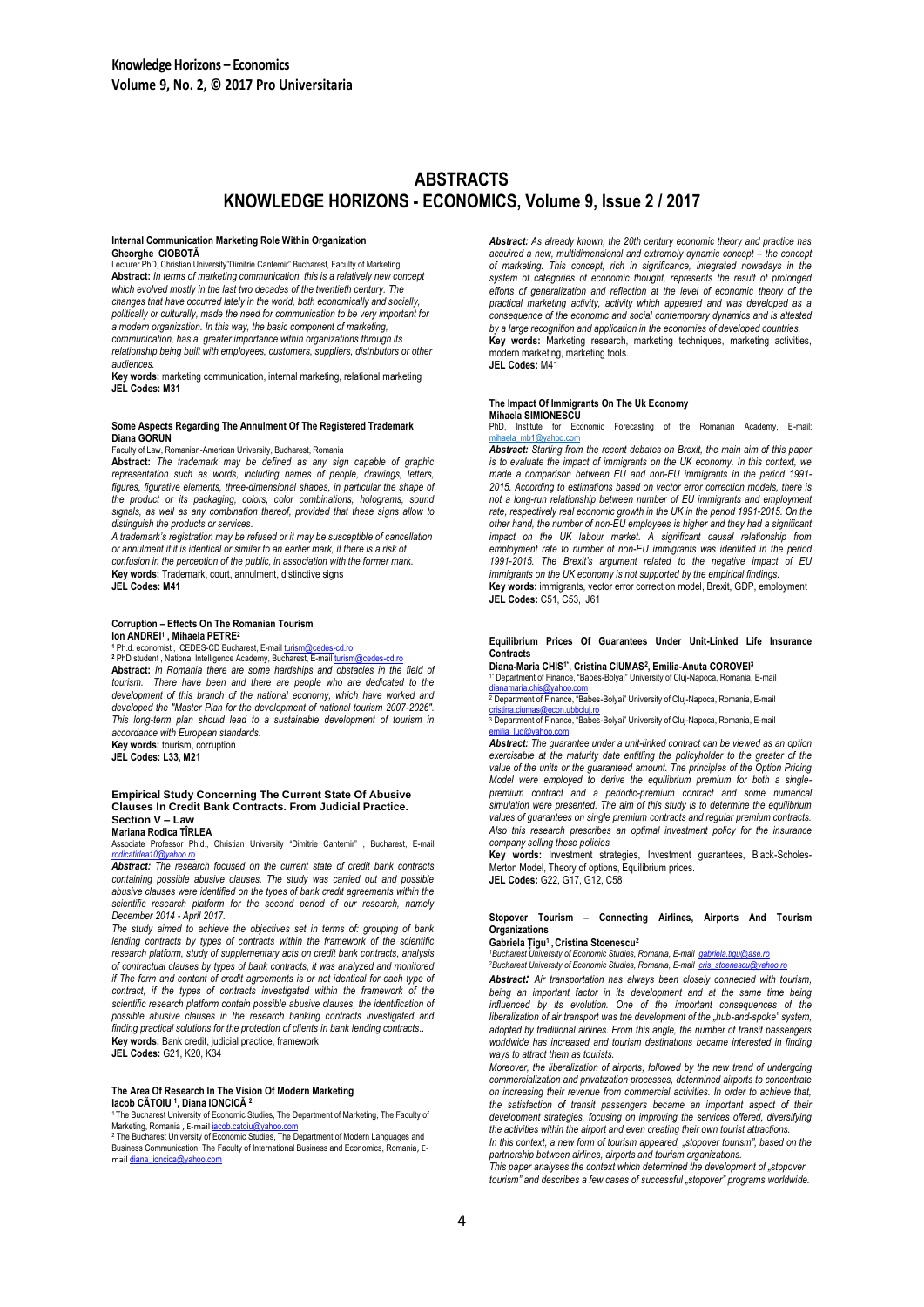## **ABSTRACTS KNOWLEDGE HORIZONS - ECONOMICS, Volume 9, Issue 2 / 2017**

#### **Internal Communication Marketing Role Within Organization Gheorghe CIOBOTĂ**

Lecturer PhD, Christian University"Dimitrie Cantemir" Bucharest, Faculty of Marketing **Abstract:** *In terms of marketing communication, this is a relatively new concept which evolved mostly in the last two decades of the twentieth century. The changes that have occurred lately in the world, both economically and socially, politically or culturally, made the need for communication to be very important for a modern organization. In this way, the basic component of marketing, communication, has a greater importance within organizations through its relationship being built with employees, customers, suppliers, distributors or other audiences.*

**Key words:** marketing communication, internal marketing, relational marketing **JEL Codes: M31**

#### **Some Aspects Regarding The Annulment Of The Registered Trademark Diana GORUN**

Faculty of Law, Romanian-American University, Bucharest, Romania

**Abstract:** *The trademark may be defined as any sign capable of graphic representation such as words, including names of people, drawings, letters, figures, figurative elements, three-dimensional shapes, in particular the shape of the product or its packaging, colors, color combinations, holograms, sound signals, as well as any combination thereof, provided that these signs allow to distinguish the products or services.*

*A trademark's registration may be refused or it may be susceptible of cancellation or annulment if it is identical or similar to an earlier mark, if there is a risk of confusion in the perception of the public, in association with the former mark.* **Key words:** Trademark, court, annulment, distinctive signs **JEL Codes: M41**

#### **Corruption – Effects On The Romanian Tourism Ion ANDREI<sup>1</sup> , Mihaela PETRE<sup>2</sup>**

**<sup>1</sup>** Ph.d. economist , CEDES-CD Bucharest, E-mai[l turism@cedes-cd.ro](mailto:turism@cedes-cd.ro) **<sup>2</sup>** PhD student , National Intelligence Academy, Bucharest, E-ma[il turism@cedes-cd.ro](mailto:turism@cedes-cd.ro) **Abstract:** *In Romania there are some hardships and obstacles in the field of tourism. There have been and there are people who are dedicated to the development of this branch of the national economy, which have worked and developed the "Master Plan for the development of national tourism 2007-2026". This long-term plan should lead to a sustainable development of tourism in accordance with European standards.*

**Key words:** tourism, corruption **JEL Codes: L33, M21**

#### **Empirical Study Concerning The Current State Of Abusive Clauses In Credit Bank Contracts. From Judicial Practice. Section V – Law**

**Mariana Rodica TÎRLEA**

Associate Professor Ph.d., Christian University "Dimitrie Cantemir" , Bucharest, E-mail *[rodicatirlea10@yahoo.ro](mailto:rodicatirlea10@yahoo.ro) Abstract: The research focused on the current state of credit bank contracts* 

*containing possible abusive clauses. The study was carried out and possible abusive clauses were identified on the types of bank credit agreements within the scientific research platform for the second period of our research, namely December 2014 - April 2017.* 

*The study aimed to achieve the objectives set in terms of: grouping of bank*  lending contracts by types of contracts within the framework of the scientific *research platform, study of supplementary acts on credit bank contracts, analysis of contractual clauses by types of bank contracts, it was analyzed and monitored if The form and content of credit agreements is or not identical for each type of* contract, if the types of contracts investigated within the framework of the *scientific research platform contain possible abusive clauses, the identification of possible abusive clauses in the research banking contracts investigated and finding practical solutions for the protection of clients in bank lending contracts*.*.* Key words: Bank credit, judicial practice, framework

**JEL Codes:** G21, K20, K34

#### **The Area Of Research In The Vision Of Modern Marketing Iacob CĂTOIU <sup>1</sup> , Diana IONCICĂ <sup>2</sup>**

<sup>1</sup>The Bucharest University of Economic Studies, The Department of Marketing, The Faculty of Marketing, Romania , E-mail [iacob.catoiu@yahoo.com](mailto:iacob.catoiu@yahoo.com)

2 The Bucharest University of Economic Studies, The Department of Modern Languages and Business Communication, The Faculty of International Business and Economics, Romania, Email [diana\\_ioncica@yahoo.com](mailto:diana_ioncica@yahoo.com)

*Abstract: As already known, the 20th century economic theory and practice has acquired a new, multidimensional and extremely dynamic concept – the concept of marketing. This concept, rich in significance, integrated nowadays in the system of categories of economic thought, represents the result of prolonged*  efforts of generalization and reflection at the level of economic theory of the *practical marketing activity, activity which appeared and was developed as a consequence of the economic and social contemporary dynamics and is attested by a large recognition and application in the economies of developed countries.* **Key words:** Marketing research, marketing techniques, marketing activities, modern marketing, marketing tools. **JEL Codes:** M41

**The Impact Of Immigrants On The Uk Economy Mihaela SIMIONESCU**

PhD, Institute for Economic Forecasting of the Romanian Academy, E-mail:  $mb1@$ vahoo

*Abstract: Starting from the recent debates on Brexit, the main aim of this paper is to evaluate the impact of immigrants on the UK economy. In this context, we made a comparison between EU and non-EU immigrants in the period 1991- 2015. According to estimations based on vector error correction models, there is*  not a long-run relationship between number of EU immigrants and employment *rate, respectively real economic growth in the UK in the period 1991-2015. On the other hand, the number of non-EU employees is higher and they had a significant impact on the UK labour market. A significant causal relationship from employment rate to number of non-EU immigrants was identified in the period 1991-2015. The Brexit's argument related to the negative impact of EU immigrants on the UK economy is not supported by the empirical findings.* **Key words:** immigrants, vector error correction model, Brexit, GDP, employment

**JEL Codes:** C51, C53, J61

#### **Equilibrium Prices Of Guarantees Under Unit-Linked Life Insurance Contracts**

**Diana-Maria CHIS1\*, Cristina CIUMAS<sup>2</sup> , Emilia-Anuta COROVEI<sup>3</sup>** 1\* Department of Finance, "Babes-Bolyai" University of Cluj-Napoca, Romania, E-mail

[dianamaria.chis@yahoo.com](mailto:dianamaria.chis@yahoo.com) <sup>2</sup> Department of Finance, "Babes-Bolyai" University of Cluj-Napoca, Romania, E-mail

<u>[cristina.ciumas@econ.ubbcluj.ro](mailto:cristina.ciumas@econ.ubbcluj.ro)</u><br><sup>3</sup> Department of Finance, "Babes-Bolyai" University of Cluj-Napoca, Romania, E-mail<br>[emilia\\_lud@yahoo.com](mailto:emilia_lud@yahoo.com)

*Abstract: The guarantee under a unit-linked contract can be viewed as an option exercisable at the maturity date entitling the policyholder to the greater of the value of the units or the guaranteed amount. The principles of the Option Pricing Model were employed to derive the equilibrium premium for both a singlepremium contract and a periodic-premium contract and some numerical simulation were presented. The aim of this study is to determine the equilibrium values of guarantees on single premium contracts and regular premium contracts. Also this research prescribes an optimal investment policy for the insurance company selling these policies*

**Key words:** Investment strategies, Investment guarantees, Black-Scholes-Merton Model, Theory of options, Equilibrium prices.

**JEL Codes:** G22, G17, G12, C58

#### **Stopover Tourism – Connecting Airlines, Airports And Tourism Organizations**

#### **Gabriela Țigu<sup>1</sup> , Cristina Stoenescu<sup>2</sup>**

<sup>1</sup>*Bucharest University of Economic Studies, Romania, E-mail [gabriela.tigu@ase.ro](mailto:gabriela.tigu@ase.ro)* <sup>2</sup>Bucharest University of Economic Studies, Romania, E-mail *cris\_stoenescu@ya* 

*Abstract: Air transportation has always been closely connected with tourism, being an important factor in its development and at the same time being influenced by its evolution. One of the important consequences of the liberalization of air transport was the development of the "hub-and-spoke" system, adopted by traditional airlines. From this angle, the number of transit passengers worldwide has increased and tourism destinations became interested in finding ways to attract them as tourists.* 

*Moreover, the liberalization of airports, followed by the new trend of undergoing commercialization and privatization processes, determined airports to concentrate on increasing their revenue from commercial activities. In order to achieve that, the satisfaction of transit passengers became an important aspect of their development strategies, focusing on improving the services offered, diversifying the activities within the airport and even creating their own tourist attractions.* 

*In this context, a new form of tourism appeared, "stopover tourism", based on the partnership between airlines, airports and tourism organizations.* 

*This paper analyses the context which determined the development of "stopover tourism" and describes a few cases of successful "stopover" programs worldwide.*